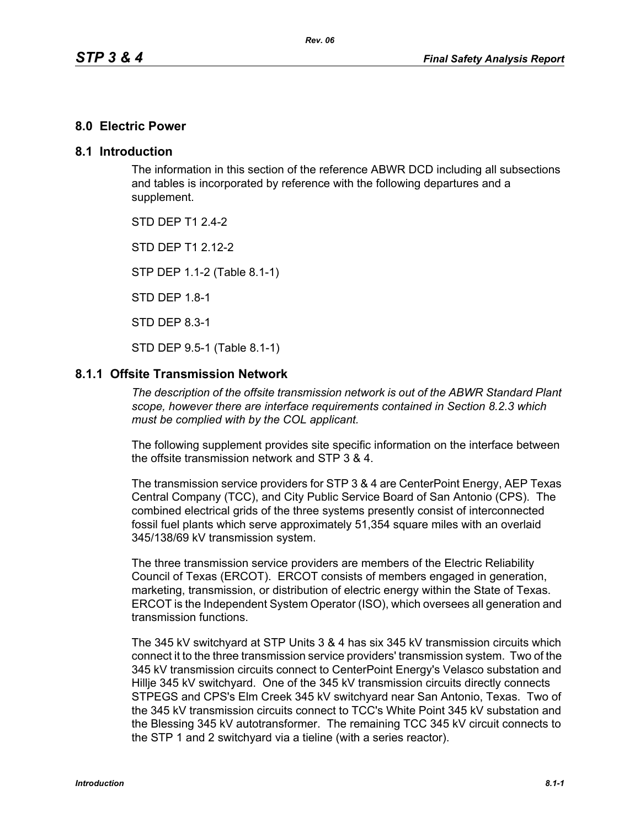### **8.0 Electric Power**

### **8.1 Introduction**

The information in this section of the reference ABWR DCD including all subsections and tables is incorporated by reference with the following departures and a supplement.

STD DFP T1 2 4-2

STD DFP T1 2 12-2

STP DEP 1.1-2 (Table 8.1-1)

STD DEP 1.8-1

STD DEP 8.3-1

STD DEP 9.5-1 (Table 8.1-1)

### **8.1.1 Offsite Transmission Network**

*The description of the offsite transmission network is out of the ABWR Standard Plant scope, however there are interface requirements contained in Section 8.2.3 which must be complied with by the COL applicant.* 

The following supplement provides site specific information on the interface between the offsite transmission network and STP 3 & 4.

The transmission service providers for STP 3 & 4 are CenterPoint Energy, AEP Texas Central Company (TCC), and City Public Service Board of San Antonio (CPS). The combined electrical grids of the three systems presently consist of interconnected fossil fuel plants which serve approximately 51,354 square miles with an overlaid 345/138/69 kV transmission system.

The three transmission service providers are members of the Electric Reliability Council of Texas (ERCOT). ERCOT consists of members engaged in generation, marketing, transmission, or distribution of electric energy within the State of Texas. ERCOT is the Independent System Operator (ISO), which oversees all generation and transmission functions.

The 345 kV switchyard at STP Units 3 & 4 has six 345 kV transmission circuits which connect it to the three transmission service providers' transmission system. Two of the 345 kV transmission circuits connect to CenterPoint Energy's Velasco substation and Hillje 345 kV switchyard. One of the 345 kV transmission circuits directly connects STPEGS and CPS's Elm Creek 345 kV switchyard near San Antonio, Texas. Two of the 345 kV transmission circuits connect to TCC's White Point 345 kV substation and the Blessing 345 kV autotransformer. The remaining TCC 345 kV circuit connects to the STP 1 and 2 switchyard via a tieline (with a series reactor).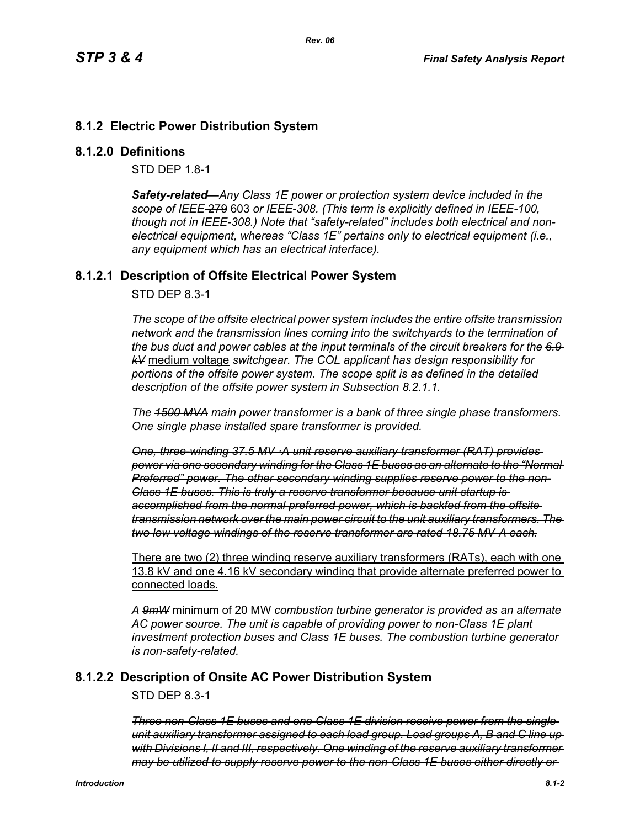# **8.1.2 Electric Power Distribution System**

### **8.1.2.0 Definitions**

STD DEP 1.8-1

*Safety-related—Any Class 1E power or protection system device included in the scope of IEEE-*279 603 *or IEEE-308. (This term is explicitly defined in IEEE-100, though not in IEEE-308.) Note that "safety-related" includes both electrical and nonelectrical equipment, whereas "Class 1E" pertains only to electrical equipment (i.e., any equipment which has an electrical interface).*

## **8.1.2.1 Description of Offsite Electrical Power System**

STD DEP 8.3-1

*The scope of the offsite electrical power system includes the entire offsite transmission network and the transmission lines coming into the switchyards to the termination of the bus duct and power cables at the input terminals of the circuit breakers for the 6.9 kV* medium voltage *switchgear. The COL applicant has design responsibility for portions of the offsite power system. The scope split is as defined in the detailed description of the offsite power system in Subsection 8.2.1.1.*

*The 1500 MVA main power transformer is a bank of three single phase transformers. One single phase installed spare transformer is provided.*

*One, three-winding 37.5 MV ·A unit reserve auxiliary transformer (RAT) provides power via one secondary winding for the Class 1E buses as an alternate to the "Normal Preferred" power. The other secondary winding supplies reserve power to the non-Class 1E buses. This is truly a reserve transformer because unit startup is accomplished from the normal preferred power, which is backfed from the offsite transmission network over the main power circuit to the unit auxiliary transformers. The two low voltage windings of the reserve transformer are rated 18.75 MV-A each.*

There are two (2) three winding reserve auxiliary transformers (RATs), each with one 13.8 kV and one 4.16 kV secondary winding that provide alternate preferred power to connected loads.

*A 9mW* minimum of 20 MW *combustion turbine generator is provided as an alternate AC power source. The unit is capable of providing power to non-Class 1E plant investment protection buses and Class 1E buses. The combustion turbine generator is non-safety-related.*

# **8.1.2.2 Description of Onsite AC Power Distribution System**

STD DEP 8.3-1

*Three non-Class 1E buses and one Class 1E division receive power from the single unit auxiliary transformer assigned to each load group. Load groups A, B and C line up with Divisions I, II and III, respectively. One winding of the reserve auxiliary transformer may be utilized to supply reserve power to the non-Class 1E buses either directly or*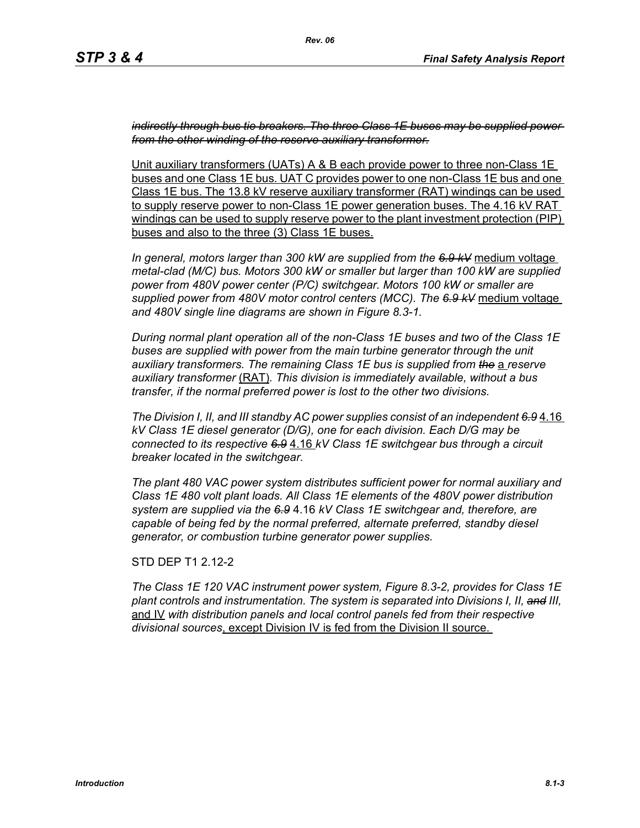*indirectly through bus tie breakers. The three Class 1E buses may be supplied power from the other winding of the reserve auxiliary transformer.*

Unit auxiliary transformers (UATs) A & B each provide power to three non-Class 1E buses and one Class 1E bus. UAT C provides power to one non-Class 1E bus and one Class 1E bus. The 13.8 kV reserve auxiliary transformer (RAT) windings can be used to supply reserve power to non-Class 1E power generation buses. The 4.16 kV RAT windings can be used to supply reserve power to the plant investment protection (PIP) buses and also to the three (3) Class 1E buses.

*In general, motors larger than 300 kW are supplied from the 6.9 kV* medium voltage *metal-clad (M/C) bus. Motors 300 kW or smaller but larger than 100 kW are supplied power from 480V power center (P/C) switchgear. Motors 100 kW or smaller are supplied power from 480V motor control centers (MCC). The 6.9 kV* medium voltage *and 480V single line diagrams are shown in Figure 8.3-1.*

*During normal plant operation all of the non-Class 1E buses and two of the Class 1E*  buses are supplied with power from the main turbine generator through the unit *auxiliary transformers. The remaining Class 1E bus is supplied from the* a *reserve auxiliary transformer* (RAT)*. This division is immediately available, without a bus transfer, if the normal preferred power is lost to the other two divisions.*

*The Division I, II, and III standby AC power supplies consist of an independent 6.9* 4.16 *kV Class 1E diesel generator (D/G), one for each division. Each D/G may be connected to its respective 6.9* 4.16 *kV Class 1E switchgear bus through a circuit breaker located in the switchgear.*

*The plant 480 VAC power system distributes sufficient power for normal auxiliary and Class 1E 480 volt plant loads. All Class 1E elements of the 480V power distribution system are supplied via the 6.9* 4.16 *kV Class 1E switchgear and, therefore, are capable of being fed by the normal preferred, alternate preferred, standby diesel generator, or combustion turbine generator power supplies.*

STD DEP T1 2.12-2

*The Class 1E 120 VAC instrument power system, Figure 8.3-2, provides for Class 1E plant controls and instrumentation. The system is separated into Divisions I, II, and III,* and IV *with distribution panels and local control panels fed from their respective divisional sources*, except Division IV is fed from the Division II source.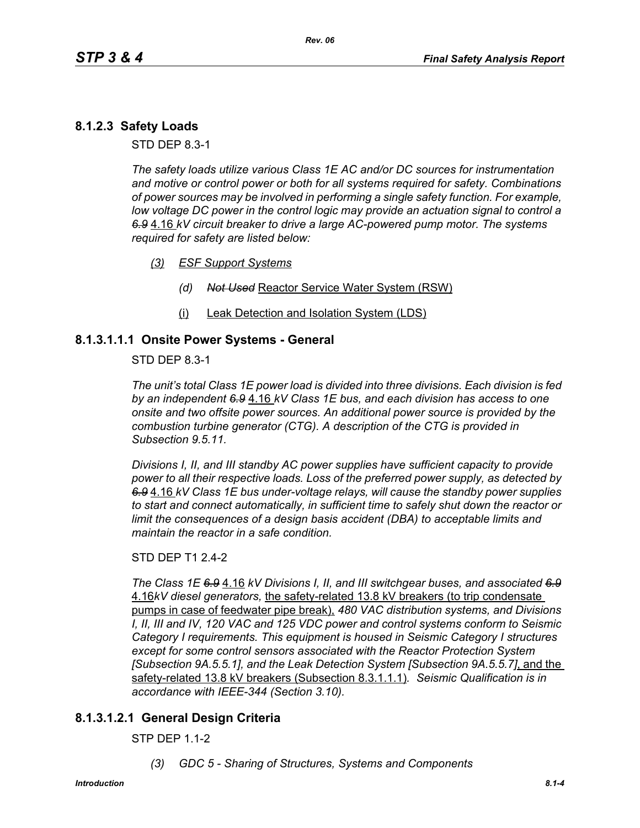# **8.1.2.3 Safety Loads**

STD DEP 8.3-1

*The safety loads utilize various Class 1E AC and/or DC sources for instrumentation and motive or control power or both for all systems required for safety. Combinations of power sources may be involved in performing a single safety function. For example, low voltage DC power in the control logic may provide an actuation signal to control a 6.9* 4.16 *kV circuit breaker to drive a large AC-powered pump motor. The systems required for safety are listed below:*

- *(3) ESF Support Systems*
	- *(d) Not Used* Reactor Service Water System (RSW)
	- (i) Leak Detection and Isolation System (LDS)

## **8.1.3.1.1.1 Onsite Power Systems - General**

STD DEP 8.3-1

*The unit's total Class 1E power load is divided into three divisions. Each division is fed by an independent 6.9* 4.16 *kV Class 1E bus, and each division has access to one onsite and two offsite power sources. An additional power source is provided by the combustion turbine generator (CTG). A description of the CTG is provided in Subsection 9.5.11.*

*Divisions I, II, and III standby AC power supplies have sufficient capacity to provide power to all their respective loads. Loss of the preferred power supply, as detected by 6.9* 4.16 *kV Class 1E bus under-voltage relays, will cause the standby power supplies to start and connect automatically, in sufficient time to safely shut down the reactor or limit the consequences of a design basis accident (DBA) to acceptable limits and maintain the reactor in a safe condition.*

### STD DEP T1 2.4-2

*The Class 1E 6.9* 4.16 *kV Divisions I, II, and III switchgear buses, and associated 6.9* 4.16*kV diesel generators,* the safety-related 13.8 kV breakers (to trip condensate pumps in case of feedwater pipe break), *480 VAC distribution systems, and Divisions I, II, III and IV, 120 VAC and 125 VDC power and control systems conform to Seismic Category I requirements. This equipment is housed in Seismic Category I structures except for some control sensors associated with the Reactor Protection System [Subsection 9A.5.5.1], and the Leak Detection System [Subsection 9A.5.5.7]*, and the safety-related 13.8 kV breakers (Subsection 8.3.1.1.1)*. Seismic Qualification is in accordance with IEEE-344 (Section 3.10).*

# **8.1.3.1.2.1 General Design Criteria**

STP DEP 1.1-2

*(3) GDC 5 - Sharing of Structures, Systems and Components*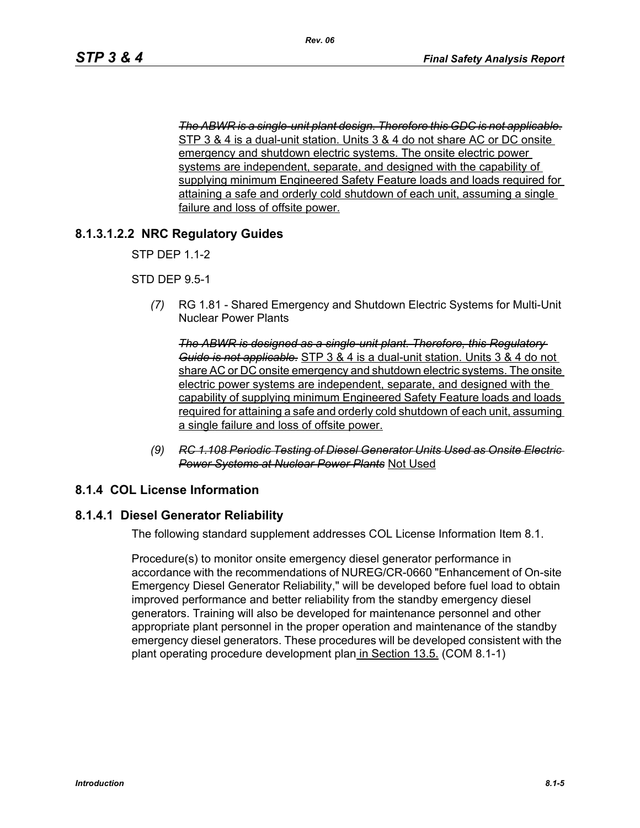*The ABWR is a single-unit plant design. Therefore this GDC is not applicable.* STP 3 & 4 is a dual-unit station. Units 3 & 4 do not share AC or DC onsite emergency and shutdown electric systems. The onsite electric power systems are independent, separate, and designed with the capability of supplying minimum Engineered Safety Feature loads and loads required for attaining a safe and orderly cold shutdown of each unit, assuming a single failure and loss of offsite power.

# **8.1.3.1.2.2 NRC Regulatory Guides**

STP DEP 1.1-2

STD DEP 9.5-1

*(7)* RG 1.81 - Shared Emergency and Shutdown Electric Systems for Multi-Unit Nuclear Power Plants

*The ABWR is designed as a single-unit plant. Therefore, this Regulatory Guide is not applicable.* STP 3 & 4 is a dual-unit station. Units 3 & 4 do not share AC or DC onsite emergency and shutdown electric systems. The onsite electric power systems are independent, separate, and designed with the capability of supplying minimum Engineered Safety Feature loads and loads required for attaining a safe and orderly cold shutdown of each unit, assuming a single failure and loss of offsite power.

*(9) RC 1.108 Periodic Testing of Diesel Generator Units Used as Onsite Electric Power Systems at Nuclear Power Plants* Not Used

# **8.1.4 COL License Information**

### **8.1.4.1 Diesel Generator Reliability**

The following standard supplement addresses COL License Information Item 8.1.

Procedure(s) to monitor onsite emergency diesel generator performance in accordance with the recommendations of NUREG/CR-0660 "Enhancement of On-site Emergency Diesel Generator Reliability," will be developed before fuel load to obtain improved performance and better reliability from the standby emergency diesel generators. Training will also be developed for maintenance personnel and other appropriate plant personnel in the proper operation and maintenance of the standby emergency diesel generators. These procedures will be developed consistent with the plant operating procedure development plan in Section 13.5. (COM 8.1-1)